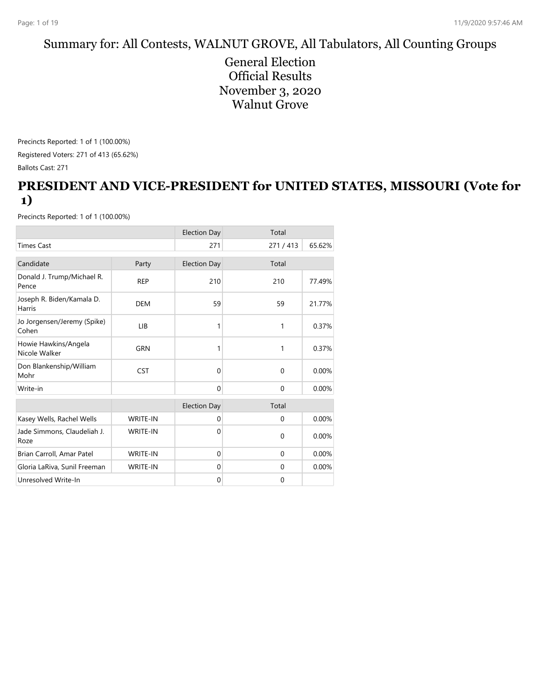#### Summary for: All Contests, WALNUT GROVE, All Tabulators, All Counting Groups

General Election Official Results November 3, 2020 Walnut Grove

Precincts Reported: 1 of 1 (100.00%) Registered Voters: 271 of 413 (65.62%) Ballots Cast: 271

#### **PRESIDENT AND VICE-PRESIDENT for UNITED STATES, MISSOURI (Vote for 1)**

|                                            |                 | <b>Election Day</b> | Total        |        |
|--------------------------------------------|-----------------|---------------------|--------------|--------|
| <b>Times Cast</b>                          |                 | 271                 | 271/413      | 65.62% |
| Candidate                                  | Party           | <b>Election Day</b> | Total        |        |
| Donald J. Trump/Michael R.<br>Pence        | <b>REP</b>      | 210                 | 210          | 77.49% |
| Joseph R. Biden/Kamala D.<br><b>Harris</b> | <b>DEM</b>      | 59                  | 59           | 21.77% |
| Jo Jorgensen/Jeremy (Spike)<br>Cohen       | LIB             | 1                   | 1            | 0.37%  |
| Howie Hawkins/Angela<br>Nicole Walker      | <b>GRN</b>      | 1                   | 1            | 0.37%  |
| Don Blankenship/William<br>Mohr            | <b>CST</b>      | $\Omega$            | $\Omega$     | 0.00%  |
| Write-in                                   |                 | $\Omega$            | $\Omega$     | 0.00%  |
|                                            |                 | <b>Election Day</b> | Total        |        |
| Kasey Wells, Rachel Wells                  | <b>WRITE-IN</b> | $\mathbf{0}$        | $\mathbf 0$  | 0.00%  |
| Jade Simmons, Claudeliah J.<br>Roze        | <b>WRITE-IN</b> | $\Omega$            | $\mathbf 0$  | 0.00%  |
| Brian Carroll, Amar Patel                  | <b>WRITE-IN</b> | $\mathbf 0$         | $\mathbf{0}$ | 0.00%  |
| Gloria LaRiva, Sunil Freeman               | <b>WRITE-IN</b> | $\mathbf{0}$        | $\Omega$     | 0.00%  |
| Unresolved Write-In                        |                 | $\mathbf 0$         | $\mathbf 0$  |        |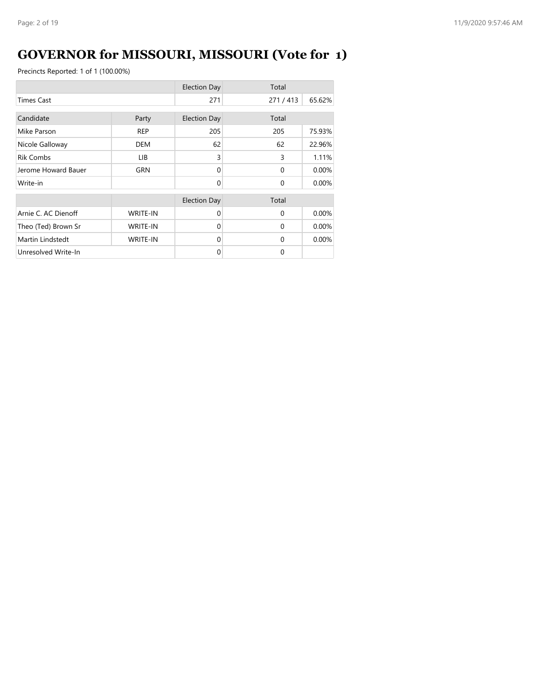# **GOVERNOR for MISSOURI, MISSOURI (Vote for 1)**

|                     |                 | <b>Election Day</b> | Total    |        |
|---------------------|-----------------|---------------------|----------|--------|
| <b>Times Cast</b>   |                 | 271                 | 271/413  | 65.62% |
| Candidate           | Party           | <b>Election Day</b> | Total    |        |
| Mike Parson         | <b>REP</b>      | 205                 | 205      | 75.93% |
| Nicole Galloway     | <b>DEM</b>      | 62                  | 62       | 22.96% |
| <b>Rik Combs</b>    | LIB.            | 3                   | 3        | 1.11%  |
| Jerome Howard Bauer | GRN             | $\Omega$            | $\Omega$ | 0.00%  |
| Write-in            |                 | $\Omega$            | $\Omega$ | 0.00%  |
|                     |                 | <b>Election Day</b> | Total    |        |
| Arnie C. AC Dienoff | <b>WRITE-IN</b> | $\Omega$            | $\Omega$ | 0.00%  |
| Theo (Ted) Brown Sr | <b>WRITE-IN</b> | $\Omega$            | $\Omega$ | 0.00%  |
| Martin Lindstedt    | <b>WRITE-IN</b> | $\Omega$            | $\Omega$ | 0.00%  |
| Unresolved Write-In |                 | $\Omega$            | $\Omega$ |        |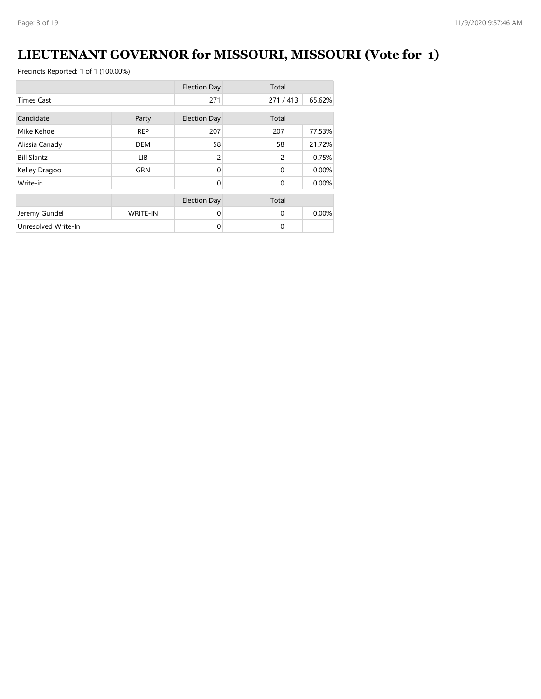## **LIEUTENANT GOVERNOR for MISSOURI, MISSOURI (Vote for 1)**

|                     |                 | <b>Election Day</b> | Total          |        |
|---------------------|-----------------|---------------------|----------------|--------|
| <b>Times Cast</b>   |                 | 271                 | 271/413        | 65.62% |
| Candidate           | Party           | <b>Election Day</b> | Total          |        |
| Mike Kehoe          | <b>REP</b>      | 207                 | 207            | 77.53% |
| Alissia Canady      | <b>DEM</b>      | 58                  | 58             | 21.72% |
| <b>Bill Slantz</b>  | LIB             | $\overline{c}$      | $\overline{c}$ | 0.75%  |
| Kelley Dragoo       | <b>GRN</b>      | $\Omega$            | $\Omega$       | 0.00%  |
| Write-in            |                 | $\Omega$            | $\Omega$       | 0.00%  |
|                     |                 | <b>Election Day</b> | Total          |        |
| Jeremy Gundel       | <b>WRITE-IN</b> | $\Omega$            | $\Omega$       | 0.00%  |
| Unresolved Write-In |                 | 0                   | $\Omega$       |        |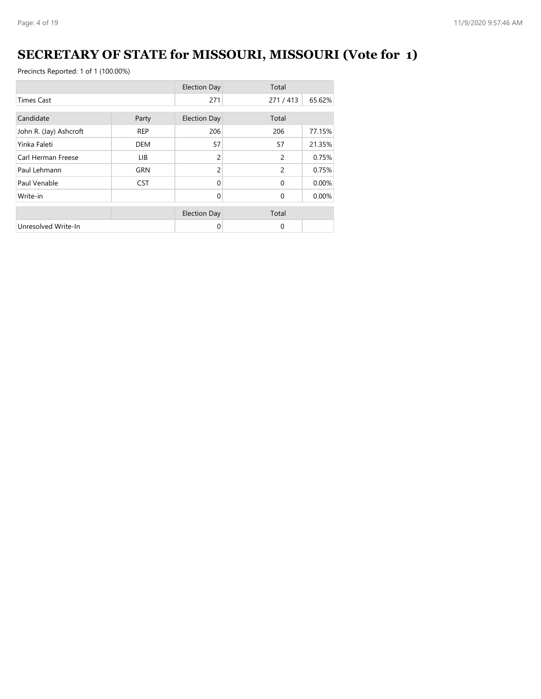# **SECRETARY OF STATE for MISSOURI, MISSOURI (Vote for 1)**

|                        |            | <b>Election Day</b> | Total          |        |
|------------------------|------------|---------------------|----------------|--------|
| <b>Times Cast</b>      |            | 271                 | 271/413        | 65.62% |
| Candidate<br>Party     |            | <b>Election Day</b> | Total          |        |
| John R. (Jay) Ashcroft | <b>REP</b> | 206                 | 206            | 77.15% |
| Yinka Faleti           | <b>DEM</b> | 57                  | 57             | 21.35% |
| Carl Herman Freese     | LIB        | 2                   | $\overline{c}$ | 0.75%  |
| Paul Lehmann           | <b>GRN</b> | 2                   | $\overline{c}$ | 0.75%  |
| Paul Venable           | <b>CST</b> | $\Omega$            | $\Omega$       | 0.00%  |
| Write-in               |            | $\Omega$            | $\Omega$       | 0.00%  |
|                        |            | <b>Election Day</b> | Total          |        |
| Unresolved Write-In    |            | 0                   | $\Omega$       |        |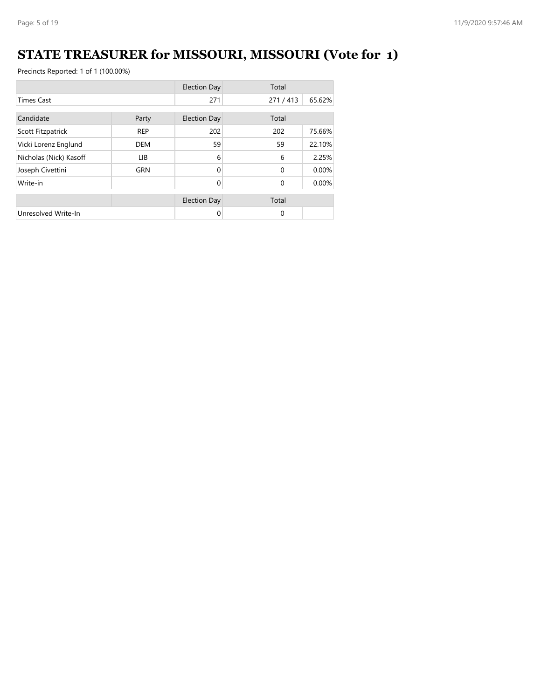# **STATE TREASURER for MISSOURI, MISSOURI (Vote for 1)**

|                        |            | <b>Election Day</b> | Total    |        |
|------------------------|------------|---------------------|----------|--------|
| <b>Times Cast</b>      |            | 271                 | 271/413  | 65.62% |
| Candidate<br>Party     |            | <b>Election Day</b> | Total    |        |
| Scott Fitzpatrick      | <b>REP</b> | 202                 | 202      | 75.66% |
| Vicki Lorenz Englund   | <b>DEM</b> | 59                  | 59       | 22.10% |
| Nicholas (Nick) Kasoff | LIB.       | 6                   | 6        | 2.25%  |
| Joseph Civettini       | <b>GRN</b> | $\Omega$            | $\Omega$ | 0.00%  |
| Write-in               |            | 0                   | $\Omega$ | 0.00%  |
|                        |            | <b>Election Day</b> | Total    |        |
| Unresolved Write-In    |            | 0                   | $\Omega$ |        |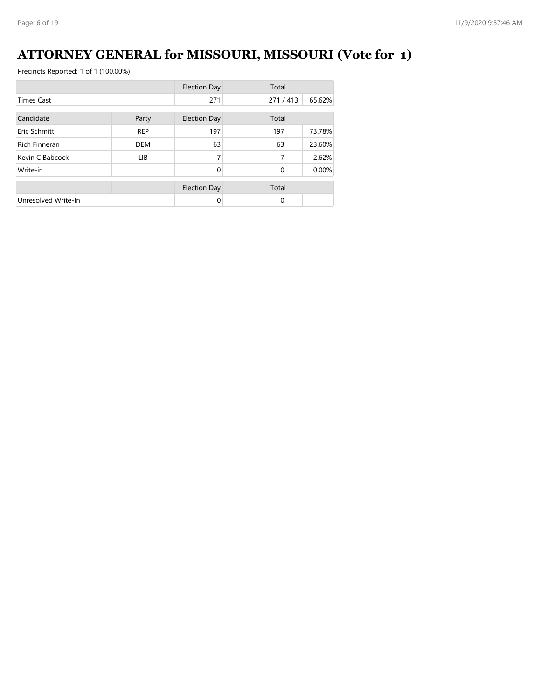## **ATTORNEY GENERAL for MISSOURI, MISSOURI (Vote for 1)**

|                      |            | <b>Election Day</b> | Total        |        |
|----------------------|------------|---------------------|--------------|--------|
| <b>Times Cast</b>    |            | 271                 | 271/413      | 65.62% |
| Candidate<br>Party   |            | <b>Election Day</b> | Total        |        |
| Eric Schmitt         | <b>REP</b> | 197                 | 197          | 73.78% |
| <b>Rich Finneran</b> | <b>DEM</b> | 63                  | 63           | 23.60% |
| Kevin C Babcock      | LIB.       | 7                   | 7            | 2.62%  |
| Write-in             |            | $\Omega$            | $\mathbf{0}$ | 0.00%  |
|                      |            | <b>Election Day</b> | Total        |        |
| Unresolved Write-In  |            | $\Omega$            | 0            |        |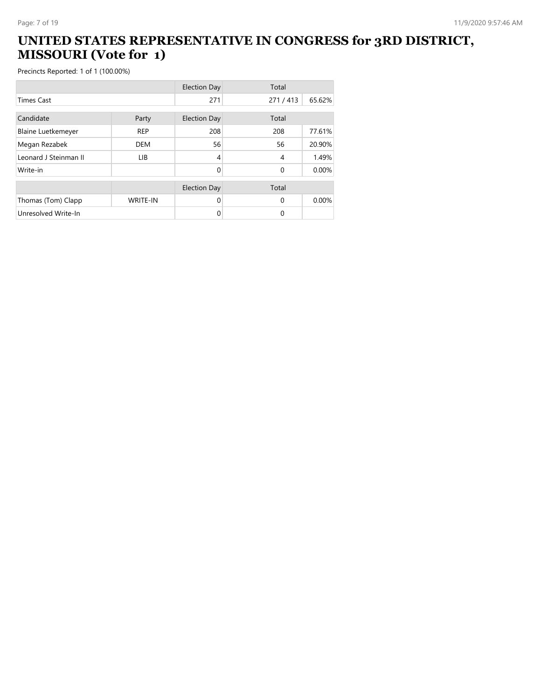#### **UNITED STATES REPRESENTATIVE IN CONGRESS for 3RD DISTRICT, MISSOURI (Vote for 1)**

|                           |                 | <b>Election Day</b> | Total    |        |
|---------------------------|-----------------|---------------------|----------|--------|
| <b>Times Cast</b>         |                 | 271                 | 271/413  | 65.62% |
| Candidate                 | Party           | <b>Election Day</b> | Total    |        |
| <b>Blaine Luetkemeyer</b> | <b>REP</b>      | 208                 | 208      | 77.61% |
| Megan Rezabek             | <b>DEM</b>      | 56                  | 56       | 20.90% |
| Leonard J Steinman II     | <b>LIB</b>      | 4                   | 4        | 1.49%  |
| Write-in                  |                 | 0                   | $\Omega$ | 0.00%  |
|                           |                 | <b>Election Day</b> | Total    |        |
| Thomas (Tom) Clapp        | <b>WRITE-IN</b> | $\Omega$            | $\Omega$ | 0.00%  |
| Unresolved Write-In       |                 | 0                   | $\Omega$ |        |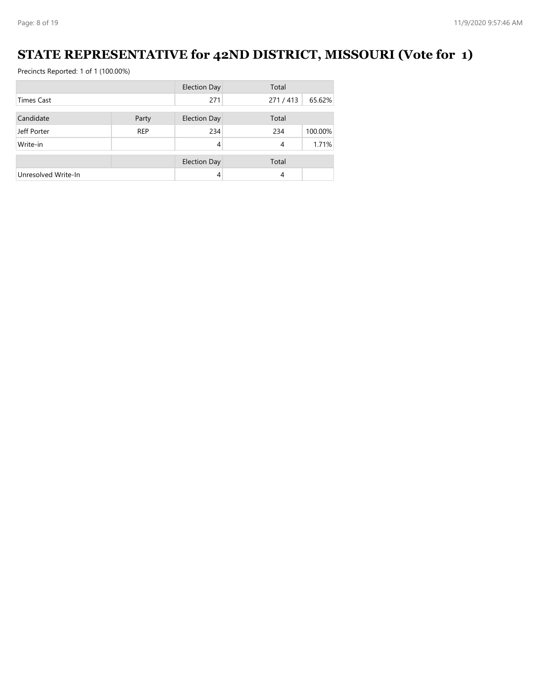## **STATE REPRESENTATIVE for 42ND DISTRICT, MISSOURI (Vote for 1)**

|                     |            | <b>Election Day</b> | Total   |         |
|---------------------|------------|---------------------|---------|---------|
| <b>Times Cast</b>   |            | 271                 | 271/413 | 65.62%  |
| Candidate           | Party      | <b>Election Day</b> | Total   |         |
| Jeff Porter         | <b>REP</b> | 234                 | 234     | 100.00% |
| Write-in            |            | 4                   | 4       | 1.71%   |
|                     |            | <b>Election Day</b> | Total   |         |
| Unresolved Write-In |            | 4                   | 4       |         |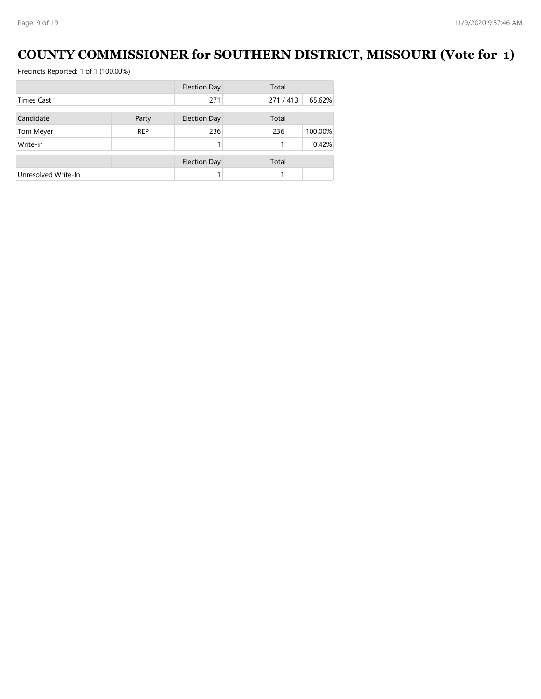## **COUNTY COMMISSIONER for SOUTHERN DISTRICT, MISSOURI (Vote for 1)**

|                     |            | <b>Election Day</b> | Total   |         |
|---------------------|------------|---------------------|---------|---------|
| <b>Times Cast</b>   |            | 271                 | 271/413 | 65.62%  |
|                     |            |                     |         |         |
| Candidate           | Party      | <b>Election Day</b> | Total   |         |
| Tom Meyer           | <b>REP</b> | 236                 | 236     | 100.00% |
| Write-in            |            |                     |         | 0.42%   |
|                     |            | <b>Election Day</b> | Total   |         |
| Unresolved Write-In |            |                     |         |         |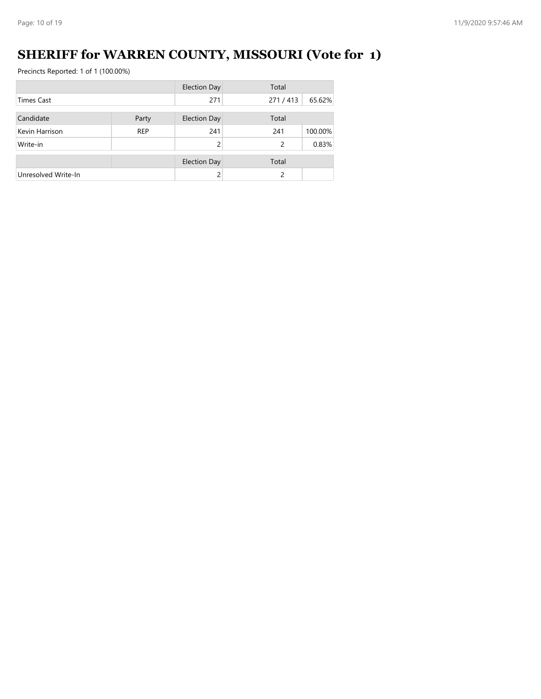# **SHERIFF for WARREN COUNTY, MISSOURI (Vote for 1)**

|                     |            | <b>Election Day</b> | Total   |         |
|---------------------|------------|---------------------|---------|---------|
| <b>Times Cast</b>   |            | 271                 | 271/413 | 65.62%  |
| Candidate           | Party      | <b>Election Day</b> | Total   |         |
| Kevin Harrison      | <b>REP</b> | 241                 | 241     | 100.00% |
| Write-in            |            | $\mathcal{P}$       | 2       | 0.83%   |
|                     |            | <b>Election Day</b> | Total   |         |
| Unresolved Write-In |            |                     | 2       |         |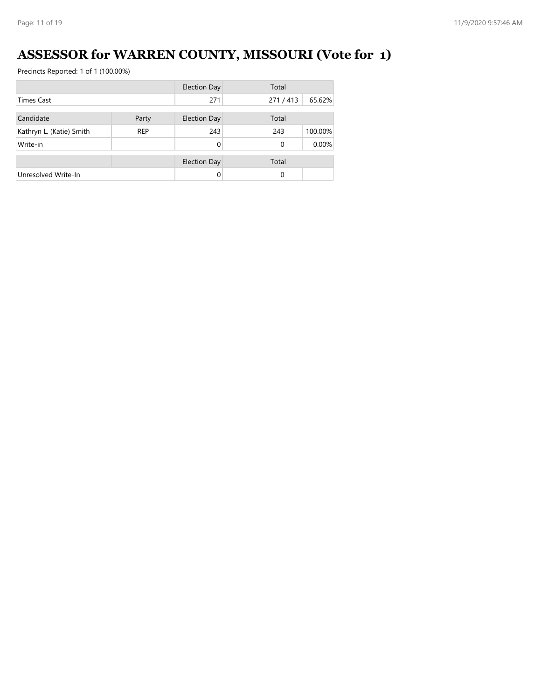# **ASSESSOR for WARREN COUNTY, MISSOURI (Vote for 1)**

|                          |            | <b>Election Day</b> | Total    |         |
|--------------------------|------------|---------------------|----------|---------|
| <b>Times Cast</b>        |            | 271                 | 271/413  | 65.62%  |
| Candidate                | Party      | <b>Election Day</b> | Total    |         |
| Kathryn L. (Katie) Smith | <b>REP</b> | 243                 | 243      | 100.00% |
| Write-in                 |            | $\Omega$            | $\Omega$ | 0.00%   |
|                          |            | <b>Election Day</b> | Total    |         |
| Unresolved Write-In      |            | $\Omega$            | 0        |         |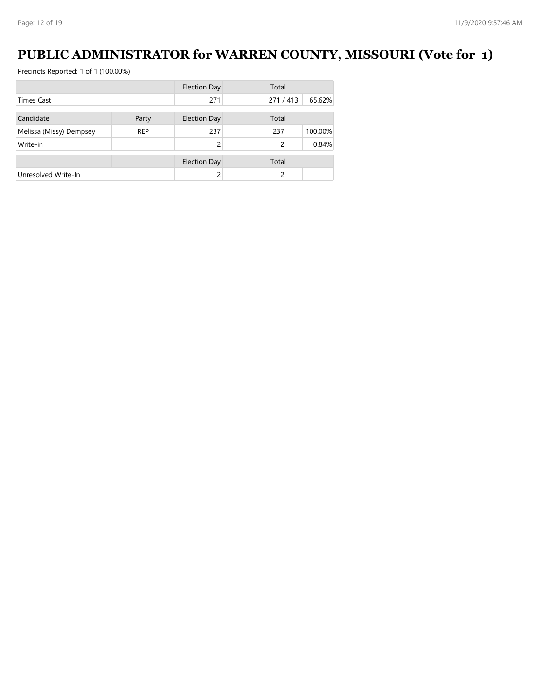## **PUBLIC ADMINISTRATOR for WARREN COUNTY, MISSOURI (Vote for 1)**

|                         |            | <b>Election Day</b> | Total         |         |
|-------------------------|------------|---------------------|---------------|---------|
| Times Cast              |            | 271                 | 271/413       | 65.62%  |
|                         |            |                     |               |         |
| Candidate               | Party      | <b>Election Day</b> | Total         |         |
| Melissa (Missy) Dempsey | <b>REP</b> | 237                 | 237           | 100.00% |
| Write-in                |            |                     | $\mathcal{P}$ | 0.84%   |
|                         |            | <b>Election Day</b> | Total         |         |
| Unresolved Write-In     |            |                     |               |         |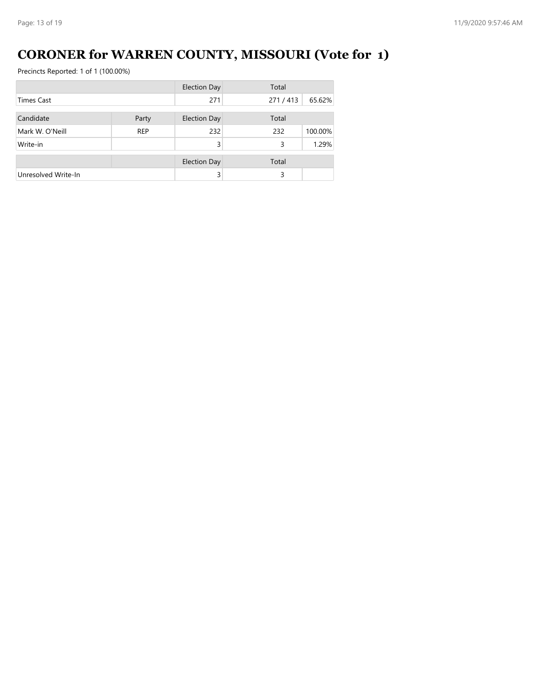# **CORONER for WARREN COUNTY, MISSOURI (Vote for 1)**

|                     |            | <b>Election Day</b> | Total   |         |  |
|---------------------|------------|---------------------|---------|---------|--|
| <b>Times Cast</b>   |            | 271                 | 271/413 | 65.62%  |  |
|                     |            |                     |         |         |  |
| Candidate           | Party      | <b>Election Day</b> | Total   |         |  |
| Mark W. O'Neill     | <b>REP</b> | 232                 | 232     | 100.00% |  |
| Write-in            |            | 3                   | 3       | 1.29%   |  |
|                     |            | <b>Election Day</b> | Total   |         |  |
|                     |            |                     |         |         |  |
| Unresolved Write-In |            | 3                   | 3       |         |  |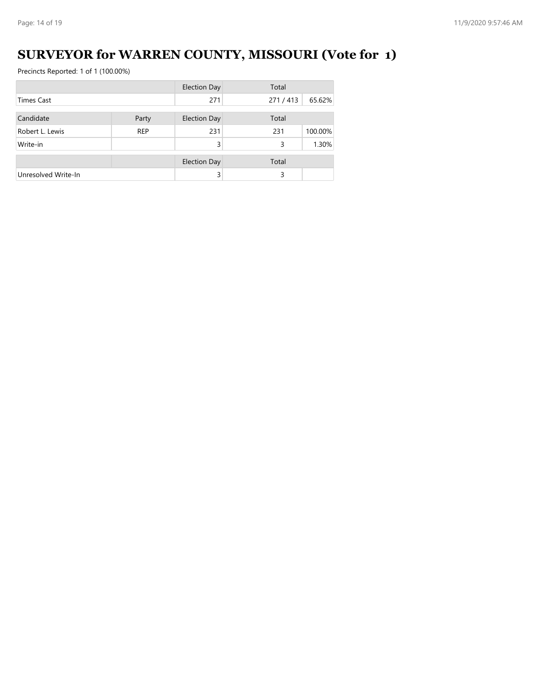## **SURVEYOR for WARREN COUNTY, MISSOURI (Vote for 1)**

|                     |            | <b>Election Day</b> | Total   |         |  |
|---------------------|------------|---------------------|---------|---------|--|
| <b>Times Cast</b>   |            | 271                 | 271/413 | 65.62%  |  |
| Candidate           | Party      | <b>Election Day</b> | Total   |         |  |
| Robert L. Lewis     | <b>REP</b> | 231                 | 231     | 100.00% |  |
| Write-in            |            | 3                   | 3       | 1.30%   |  |
|                     |            | <b>Election Day</b> | Total   |         |  |
| Unresolved Write-In |            | 3                   | 3       |         |  |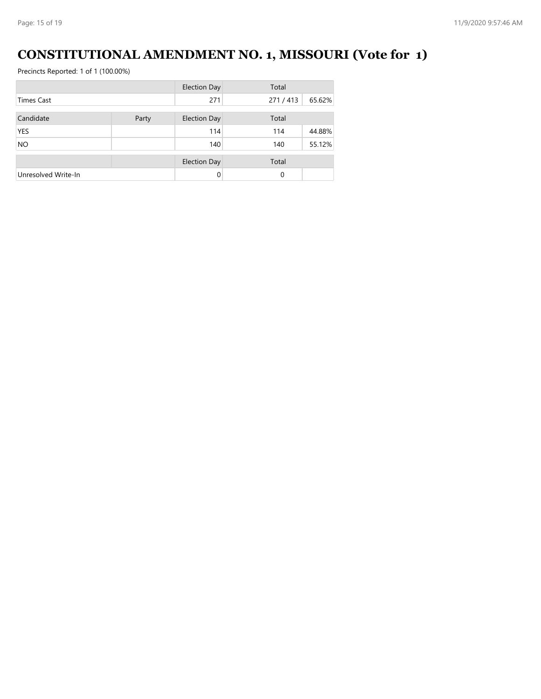## **CONSTITUTIONAL AMENDMENT NO. 1, MISSOURI (Vote for 1)**

|                     |       | <b>Election Day</b> | Total    |        |
|---------------------|-------|---------------------|----------|--------|
| <b>Times Cast</b>   |       | 271                 | 271/413  | 65.62% |
| Candidate           | Party | <b>Election Day</b> | Total    |        |
| <b>YES</b>          |       | 114                 | 114      | 44.88% |
| <b>NO</b>           |       | 140                 | 140      | 55.12% |
|                     |       | <b>Election Day</b> | Total    |        |
| Unresolved Write-In |       | $\Omega$            | $\Omega$ |        |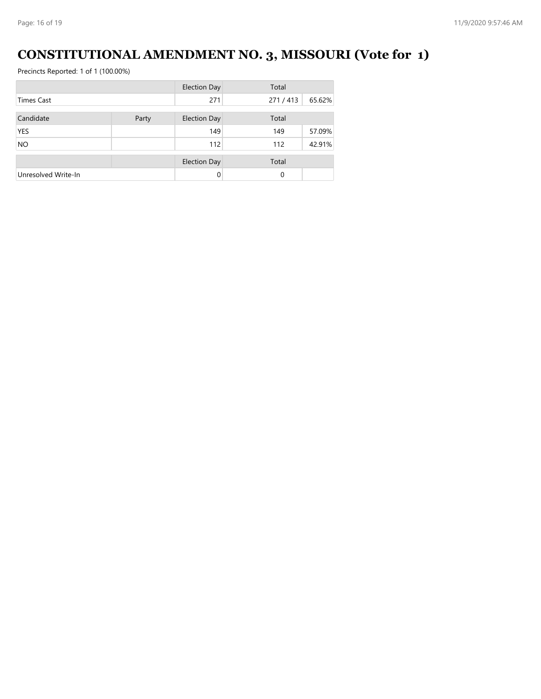# **CONSTITUTIONAL AMENDMENT NO. 3, MISSOURI (Vote for 1)**

| <b>Election Day</b> |       | Total               |         |        |
|---------------------|-------|---------------------|---------|--------|
| <b>Times Cast</b>   |       | 271                 | 271/413 | 65.62% |
| Candidate           | Party | <b>Election Day</b> | Total   |        |
| <b>YES</b>          |       | 149                 | 149     | 57.09% |
| <b>NO</b>           |       | 112                 | 112     | 42.91% |
|                     |       | <b>Election Day</b> | Total   |        |
| Unresolved Write-In |       | $\Omega$            | 0       |        |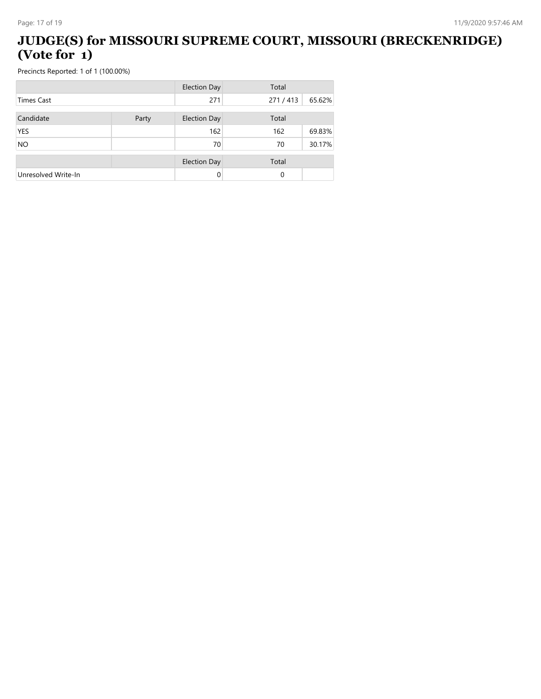#### **JUDGE(S) for MISSOURI SUPREME COURT, MISSOURI (BRECKENRIDGE) (Vote for 1)**

|                     |       | <b>Election Day</b> | Total   |        |  |
|---------------------|-------|---------------------|---------|--------|--|
| <b>Times Cast</b>   |       | 271                 | 271/413 | 65.62% |  |
|                     |       |                     |         |        |  |
| Candidate           | Party | <b>Election Day</b> | Total   |        |  |
| <b>YES</b>          |       | 162                 | 162     | 69.83% |  |
| <b>NO</b>           |       | 70                  | 70      | 30.17% |  |
|                     |       | <b>Election Day</b> | Total   |        |  |
| Unresolved Write-In |       | 0                   | 0       |        |  |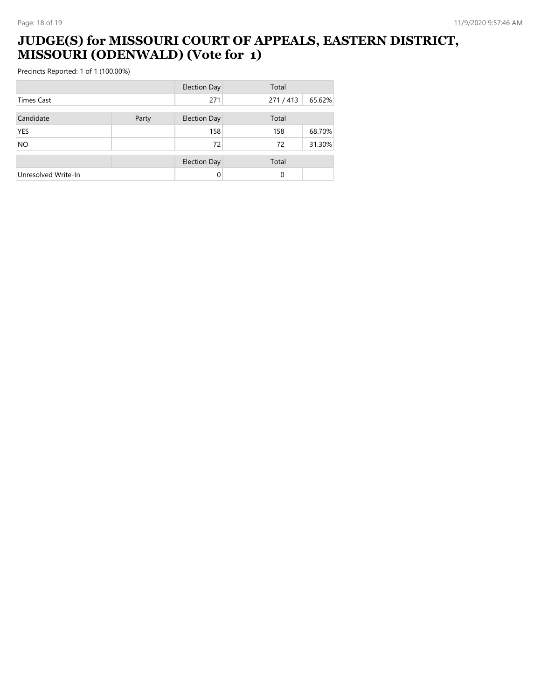#### **JUDGE(S) for MISSOURI COURT OF APPEALS, EASTERN DISTRICT, MISSOURI (ODENWALD) (Vote for 1)**

|                     |       | <b>Election Day</b> | Total   |        |  |
|---------------------|-------|---------------------|---------|--------|--|
| <b>Times Cast</b>   |       | 271                 | 271/413 | 65.62% |  |
| Candidate           | Party | <b>Election Day</b> | Total   |        |  |
| <b>YES</b>          |       | 158                 | 158     | 68.70% |  |
| <b>NO</b>           |       | 72                  | 72      | 31.30% |  |
|                     |       | <b>Election Day</b> | Total   |        |  |
| Unresolved Write-In |       | 0                   | 0       |        |  |